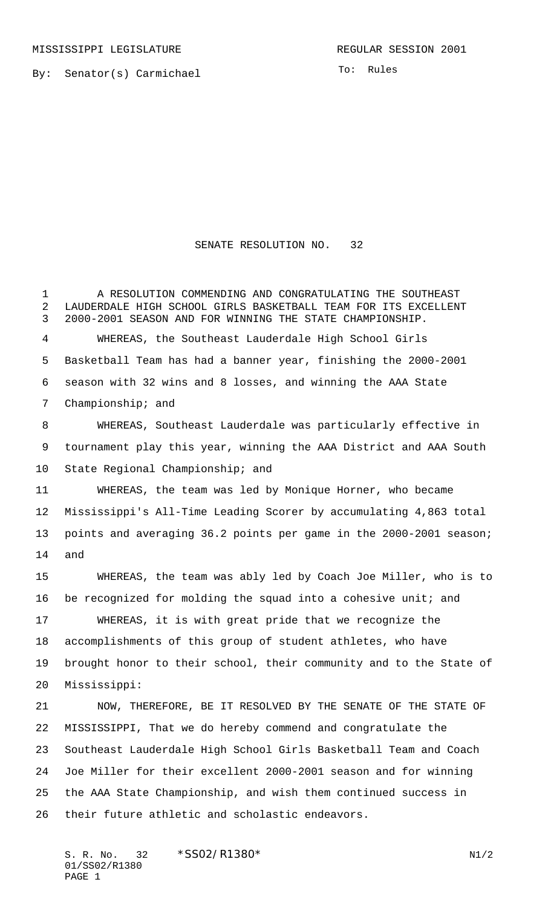MISSISSIPPI LEGISLATURE **REGULAR SESSION 2001** 

By: Senator(s) Carmichael

To: Rules

## SENATE RESOLUTION NO. 32

A RESOLUTION COMMENDING AND CONGRATULATING THE SOUTHEAST

 LAUDERDALE HIGH SCHOOL GIRLS BASKETBALL TEAM FOR ITS EXCELLENT 2000-2001 SEASON AND FOR WINNING THE STATE CHAMPIONSHIP. WHEREAS, the Southeast Lauderdale High School Girls Basketball Team has had a banner year, finishing the 2000-2001 season with 32 wins and 8 losses, and winning the AAA State Championship; and WHEREAS, Southeast Lauderdale was particularly effective in tournament play this year, winning the AAA District and AAA South State Regional Championship; and WHEREAS, the team was led by Monique Horner, who became Mississippi's All-Time Leading Scorer by accumulating 4,863 total points and averaging 36.2 points per game in the 2000-2001 season; and WHEREAS, the team was ably led by Coach Joe Miller, who is to be recognized for molding the squad into a cohesive unit; and WHEREAS, it is with great pride that we recognize the accomplishments of this group of student athletes, who have brought honor to their school, their community and to the State of Mississippi: NOW, THEREFORE, BE IT RESOLVED BY THE SENATE OF THE STATE OF MISSISSIPPI, That we do hereby commend and congratulate the Southeast Lauderdale High School Girls Basketball Team and Coach Joe Miller for their excellent 2000-2001 season and for winning the AAA State Championship, and wish them continued success in their future athletic and scholastic endeavors.

S. R. No. 32 \* SS02/R1380\* N1/2 01/SS02/R1380 PAGE 1